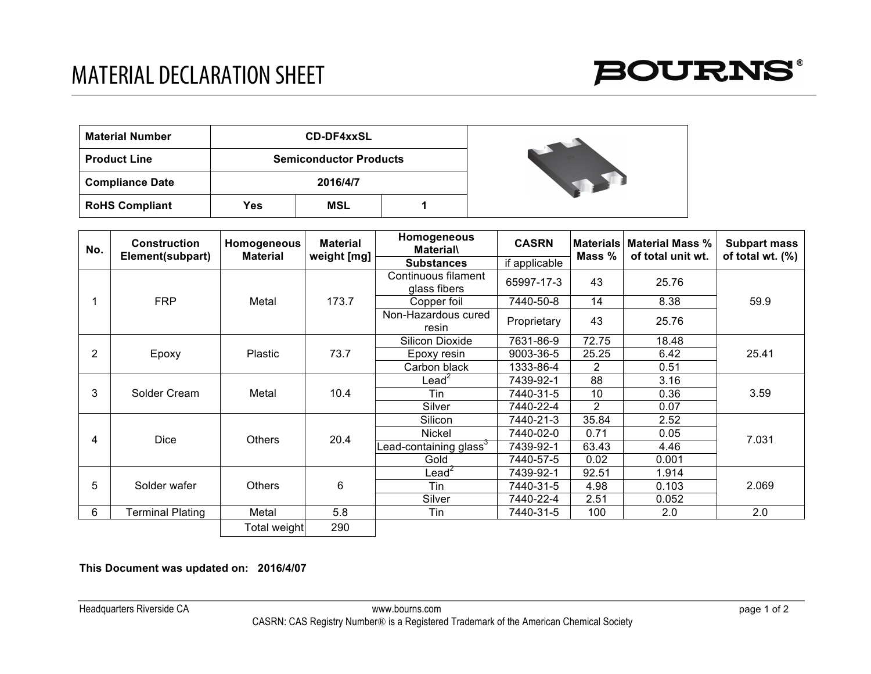

| <b>Material Number</b> |     | <b>CD-DF4xxSL</b>             |  |  |
|------------------------|-----|-------------------------------|--|--|
| <b>Product Line</b>    |     | <b>Semiconductor Products</b> |  |  |
| <b>Compliance Date</b> |     | 2016/4/7                      |  |  |
| <b>RoHS Compliant</b>  | Yes | MSL                           |  |  |

| No. | <b>Construction</b><br>Element(subpart) | Homogeneous<br><b>Material</b> | <b>Material</b><br>weight [mg] | Homogeneous<br><b>Material\</b>     | <b>CASRN</b>  | <b>Materials</b><br>Mass $%$ | <b>Material Mass %</b><br>of total unit wt. | <b>Subpart mass</b><br>of total wt. $(\%)$ |
|-----|-----------------------------------------|--------------------------------|--------------------------------|-------------------------------------|---------------|------------------------------|---------------------------------------------|--------------------------------------------|
|     |                                         |                                |                                | <b>Substances</b>                   | if applicable |                              |                                             |                                            |
|     | <b>FRP</b>                              | Metal                          | 173.7                          | Continuous filament<br>glass fibers | 65997-17-3    | 43                           | 25.76                                       | 59.9                                       |
|     |                                         |                                |                                | Copper foil                         | 7440-50-8     | 14                           | 8.38                                        |                                            |
|     |                                         |                                |                                | Non-Hazardous cured<br>resin        | Proprietary   | 43                           | 25.76                                       |                                            |
| 2   | Epoxy                                   | <b>Plastic</b>                 | 73.7                           | Silicon Dioxide                     | 7631-86-9     | 72.75                        | 18.48                                       | 25.41                                      |
|     |                                         |                                |                                | Epoxy resin                         | 9003-36-5     | 25.25                        | 6.42                                        |                                            |
|     |                                         |                                |                                | Carbon black                        | 1333-86-4     | $\overline{2}$               | 0.51                                        |                                            |
| 3   | Solder Cream                            | Metal                          | 10.4                           | Lead <sup>2</sup>                   | 7439-92-1     | 88                           | 3.16                                        | 3.59                                       |
|     |                                         |                                |                                | Tin                                 | 7440-31-5     | 10                           | 0.36                                        |                                            |
|     |                                         |                                |                                | Silver                              | 7440-22-4     | $\overline{2}$               | 0.07                                        |                                            |
| 4   | <b>Dice</b>                             | <b>Others</b>                  | 20.4                           | Silicon                             | 7440-21-3     | 35.84                        | 2.52                                        | 7.031                                      |
|     |                                         |                                |                                | Nickel                              | 7440-02-0     | 0.71                         | 0.05                                        |                                            |
|     |                                         |                                |                                | Lead-containing glass $^3$          | 7439-92-1     | 63.43                        | 4.46                                        |                                            |
|     |                                         |                                |                                | Gold                                | 7440-57-5     | 0.02                         | 0.001                                       |                                            |
| 5   | Solder wafer                            | <b>Others</b>                  | 6                              | Lead $\check{ }$                    | 7439-92-1     | 92.51                        | 1.914                                       | 2.069                                      |
|     |                                         |                                |                                | Tin                                 | 7440-31-5     | 4.98                         | 0.103                                       |                                            |
|     |                                         |                                |                                | Silver                              | 7440-22-4     | 2.51                         | 0.052                                       |                                            |
| 6   | <b>Terminal Plating</b>                 | Metal                          | 5.8                            | Tin                                 | 7440-31-5     | 100                          | 2.0                                         | 2.0                                        |
|     |                                         | <b>Total weight</b>            | 290                            |                                     |               |                              |                                             |                                            |

**This Document was updated on: 2016/4/07**